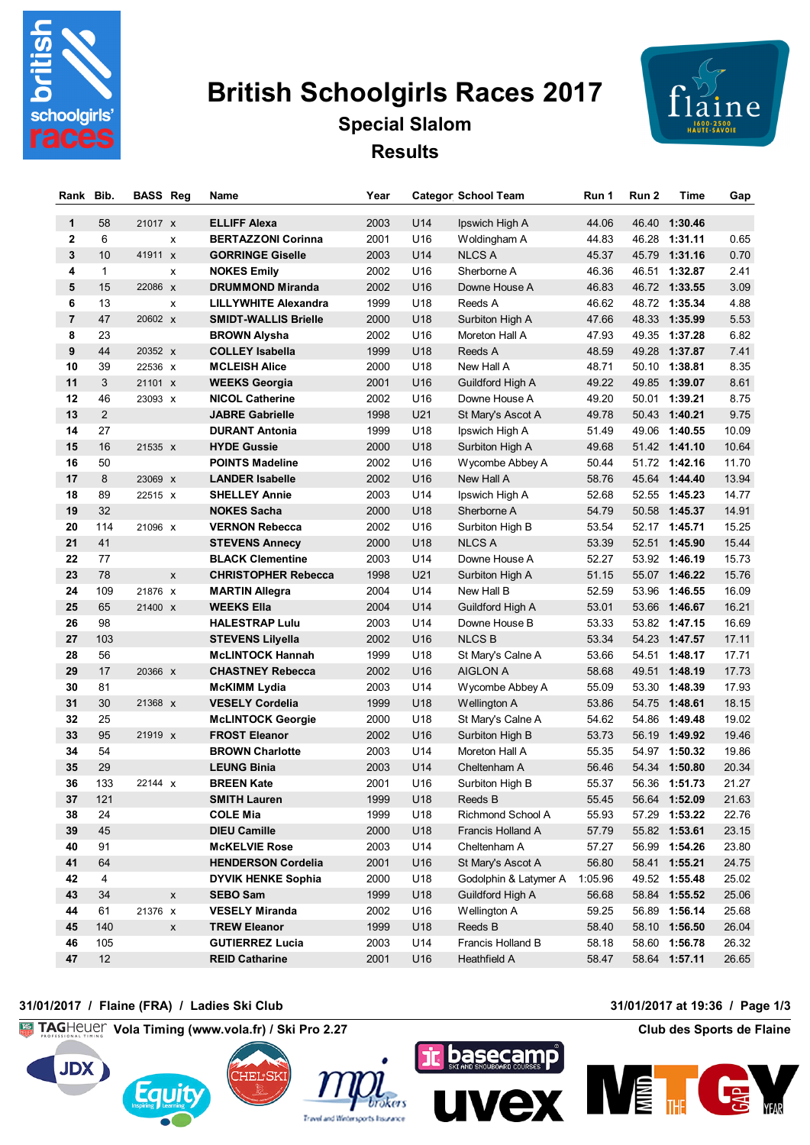

# **British Schoolgirls Races 2017**



## **Special Slalom Results**

| Rank           | Bib.         | <b>BASS Reg</b>    | Name            |                             | Year |                 | <b>Categor School Team</b> | Run 1   | Run 2 | Time          | Gap   |
|----------------|--------------|--------------------|-----------------|-----------------------------|------|-----------------|----------------------------|---------|-------|---------------|-------|
| 1              | 58           | 21017 X            |                 | <b>ELLIFF Alexa</b>         | 2003 | U14             | Ipswich High A             | 44.06   |       | 46.40 1:30.46 |       |
| 2              | 6            | х                  |                 | <b>BERTAZZONI Corinna</b>   | 2001 | U16             | Woldingham A               | 44.83   |       | 46.28 1:31.11 | 0.65  |
| 3              | 10           | 41911 X            |                 | <b>GORRINGE Giselle</b>     | 2003 | U14             | <b>NLCS A</b>              | 45.37   |       | 45.79 1:31.16 | 0.70  |
| 4              | $\mathbf{1}$ | x                  |                 | <b>NOKES Emily</b>          | 2002 | U16             | Sherborne A                | 46.36   |       | 46.51 1:32.87 | 2.41  |
| 5              | 15           | 22086 x            |                 | <b>DRUMMOND Miranda</b>     | 2002 | U <sub>16</sub> | Downe House A              | 46.83   |       | 46.72 1:33.55 | 3.09  |
| 6              | 13           | x                  |                 | <b>LILLYWHITE Alexandra</b> | 1999 | U18             | Reeds A                    | 46.62   |       | 48.72 1:35.34 | 4.88  |
| $\overline{7}$ | 47           | 20602 X            |                 | <b>SMIDT-WALLIS Brielle</b> | 2000 | U18             | Surbiton High A            | 47.66   |       | 48.33 1:35.99 | 5.53  |
| 8              | 23           |                    |                 | <b>BROWN Alysha</b>         | 2002 | U16             | Moreton Hall A             | 47.93   |       | 49.35 1:37.28 | 6.82  |
| 9              | 44           | 20352 X            |                 | <b>COLLEY Isabella</b>      | 1999 | U18             | Reeds A                    | 48.59   |       | 49.28 1:37.87 | 7.41  |
| 10             | 39           | 22536 x            |                 | <b>MCLEISH Alice</b>        | 2000 | U18             | New Hall A                 | 48.71   |       | 50.10 1:38.81 | 8.35  |
| 11             | 3            | 21101 X            |                 | <b>WEEKS Georgia</b>        | 2001 | U16             | Guildford High A           | 49.22   |       | 49.85 1:39.07 | 8.61  |
| 12             | 46           | 23093 X            |                 | <b>NICOL Catherine</b>      | 2002 | U16             | Downe House A              | 49.20   |       | 50.01 1:39.21 | 8.75  |
| 13             | 2            |                    |                 | <b>JABRE Gabrielle</b>      | 1998 | U21             | St Mary's Ascot A          | 49.78   |       | 50.43 1:40.21 | 9.75  |
| 14             | 27           |                    |                 | <b>DURANT Antonia</b>       | 1999 | U18             | Ipswich High A             | 51.49   |       | 49.06 1:40.55 | 10.09 |
| 15             | 16           | 21535 x            |                 | <b>HYDE Gussie</b>          | 2000 | U18             | Surbiton High A            | 49.68   |       | 51.42 1:41.10 | 10.64 |
| 16             | 50           |                    |                 | <b>POINTS Madeline</b>      | 2002 | U16             | Wycombe Abbey A            | 50.44   |       | 51.72 1:42.16 | 11.70 |
| 17             | 8            | 23069 X            |                 | <b>LANDER Isabelle</b>      | 2002 | U <sub>16</sub> | New Hall A                 | 58.76   |       | 45.64 1:44.40 | 13.94 |
| 18             | 89           | 22515 x            |                 | <b>SHELLEY Annie</b>        | 2003 | U14             | Ipswich High A             | 52.68   |       | 52.55 1:45.23 | 14.77 |
| 19             | 32           |                    |                 | <b>NOKES Sacha</b>          | 2000 | U18             | Sherborne A                | 54.79   |       | 50.58 1:45.37 | 14.91 |
| 20             | 114          | 21096 x            |                 | <b>VERNON Rebecca</b>       | 2002 | U16             | Surbiton High B            | 53.54   |       | 52.17 1:45.71 | 15.25 |
| 21             | 41           |                    |                 | <b>STEVENS Annecy</b>       | 2000 | U18             | <b>NLCS A</b>              | 53.39   |       | 52.51 1:45.90 | 15.44 |
| 22             | 77           |                    |                 | <b>BLACK Clementine</b>     | 2003 | U14             | Downe House A              | 52.27   |       | 53.92 1:46.19 | 15.73 |
| 23             | 78           | X                  |                 | <b>CHRISTOPHER Rebecca</b>  | 1998 | U21             | Surbiton High A            | 51.15   |       | 55.07 1:46.22 | 15.76 |
| 24             | 109          | 21876 X            |                 | <b>MARTIN Allegra</b>       | 2004 | U14             | New Hall B                 | 52.59   |       | 53.96 1:46.55 | 16.09 |
| 25             | 65           | 21400 x            |                 | <b>WEEKS Ella</b>           | 2004 | U14             | Guildford High A           | 53.01   |       | 53.66 1:46.67 | 16.21 |
| 26             | 98           |                    |                 | <b>HALESTRAP Lulu</b>       | 2003 | U14             | Downe House B              | 53.33   |       | 53.82 1:47.15 | 16.69 |
| 27             | 103          |                    |                 | <b>STEVENS Lilyella</b>     | 2002 | U16             | <b>NLCSB</b>               | 53.34   |       | 54.23 1:47.57 | 17.11 |
| 28             | 56           |                    |                 | <b>McLINTOCK Hannah</b>     | 1999 | U18             | St Mary's Calne A          | 53.66   |       | 54.51 1:48.17 | 17.71 |
| 29             | 17           | 20366 X            |                 | <b>CHASTNEY Rebecca</b>     | 2002 | U16             | <b>AIGLON A</b>            | 58.68   |       | 49.51 1:48.19 | 17.73 |
| 30             | 81           |                    |                 | <b>McKIMM Lydia</b>         | 2003 | U14             | Wycombe Abbey A            | 55.09   |       | 53.30 1:48.39 | 17.93 |
| 31             | 30           | 21368 x            |                 | <b>VESELY Cordelia</b>      | 1999 | U <sub>18</sub> | Wellington A               | 53.86   |       | 54.75 1:48.61 | 18.15 |
| 32             | 25           |                    |                 | <b>McLINTOCK Georgie</b>    | 2000 | U18             | St Mary's Calne A          | 54.62   |       | 54.86 1:49.48 | 19.02 |
| 33             | 95           | 21919 x            |                 | <b>FROST Eleanor</b>        | 2002 | U16             | Surbiton High B            | 53.73   |       | 56.19 1:49.92 | 19.46 |
| 34             | 54           |                    |                 | <b>BROWN Charlotte</b>      | 2003 | U14             | Moreton Hall A             | 55.35   |       | 54.97 1:50.32 | 19.86 |
| 35             | 29           |                    |                 | <b>LEUNG Binia</b>          | 2003 | U14             | Cheltenham A               | 56.46   |       | 54.34 1:50.80 | 20.34 |
| 36             | 133          | 22144 X            |                 | <b>BREEN Kate</b>           | 2001 | U16             | Surbiton High B            | 55.37   |       | 56.36 1:51.73 | 21.27 |
| 37             | 121          |                    |                 | <b>SMITH Lauren</b>         | 1999 | U18             | Reeds B                    | 55.45   |       | 56.64 1:52.09 | 21.63 |
| 38             | 24           |                    | COLE Mia        |                             | 1999 | U18             | Richmond School A          | 55.93   |       | 57.29 1:53.22 | 22.76 |
| 39             | 45           |                    |                 | <b>DIEU Camille</b>         | 2000 | U18             | Francis Holland A          | 57.79   |       | 55.82 1:53.61 | 23.15 |
| 40             | 91           |                    |                 | <b>McKELVIE Rose</b>        | 2003 | U14             | Cheltenham A               | 57.27   |       | 56.99 1:54.26 | 23.80 |
| 41             | 64           |                    |                 | <b>HENDERSON Cordelia</b>   | 2001 | U16             | St Mary's Ascot A          | 56.80   |       | 58.41 1:55.21 | 24.75 |
| 42             | 4            |                    |                 | <b>DYVIK HENKE Sophia</b>   | 2000 | U18             | Godolphin & Latymer A      | 1:05.96 |       | 49.52 1:55.48 | 25.02 |
| 43             | 34           | $\pmb{\mathsf{x}}$ | <b>SEBO Sam</b> |                             | 1999 | U18             | Guildford High A           | 56.68   |       | 58.84 1:55.52 | 25.06 |
| 44             | 61           | 21376 X            |                 | <b>VESELY Miranda</b>       | 2002 | U16             | Wellington A               | 59.25   |       | 56.89 1:56.14 | 25.68 |
| 45             | 140          | X                  |                 | <b>TREW Eleanor</b>         | 1999 | U18             | Reeds B                    | 58.40   |       | 58.10 1:56.50 | 26.04 |
| 46             | 105          |                    |                 | <b>GUTIERREZ Lucia</b>      | 2003 | U14             | Francis Holland B          | 58.18   |       | 58.60 1:56.78 | 26.32 |
| 47             | 12           |                    |                 | <b>REID Catharine</b>       | 2001 | U16             | Heathfield A               | 58.47   |       | 58.64 1:57.11 | 26.65 |

#### **31/01/2017 / Flaine (FRA) / Ladies Ski Club 31/01/2017 at 19:36 / Page 1/3**

**Vola Timing (www.vola.fr) / Ski Pro 2.27 Club des Sports de Flaine**









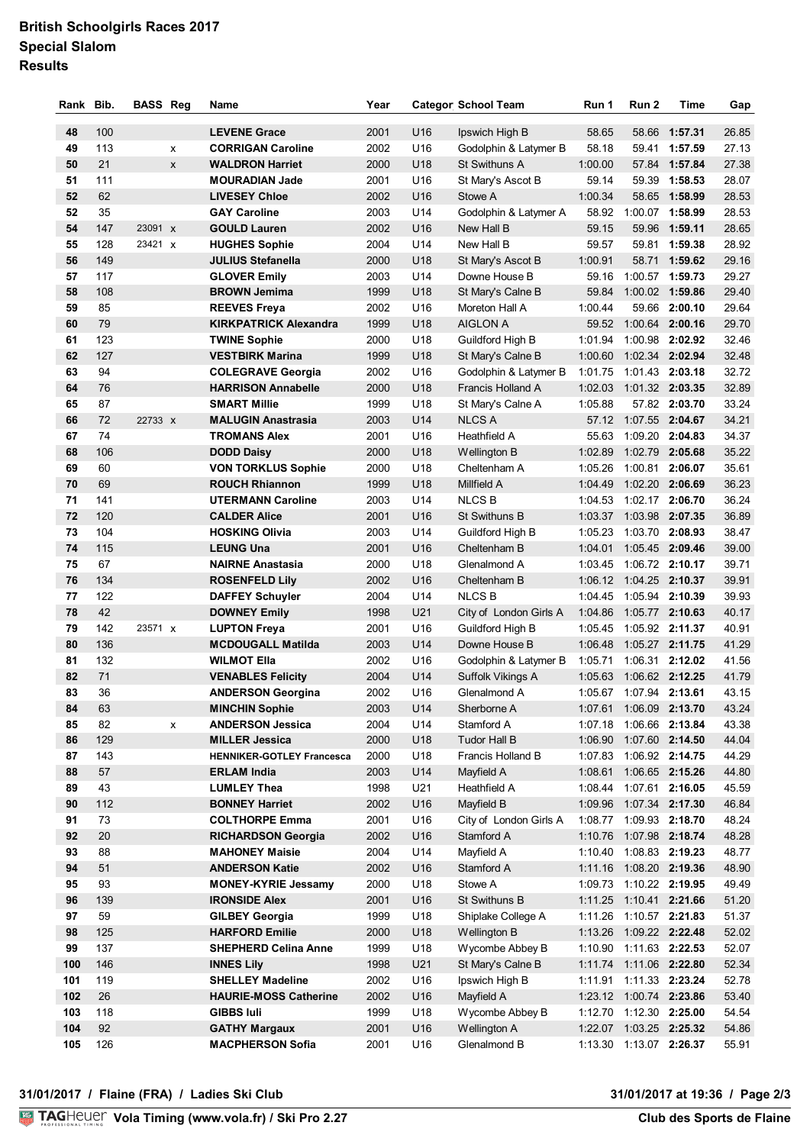### **British Schoolgirls Races 2017 Special Slalom Results**

| Rank     | Bib.       | <b>BASS Reg</b> |   | Name                                             | Year         |                        | <b>Categor School Team</b>          | Run 1          | Run 2                     | Time          | Gap            |
|----------|------------|-----------------|---|--------------------------------------------------|--------------|------------------------|-------------------------------------|----------------|---------------------------|---------------|----------------|
|          |            |                 |   |                                                  |              |                        |                                     |                |                           |               |                |
| 48       | 100        |                 |   | <b>LEVENE Grace</b>                              | 2001         | U16                    | Ipswich High B                      | 58.65          |                           | 58.66 1:57.31 | 26.85          |
| 49       | 113        |                 | x | <b>CORRIGAN Caroline</b>                         | 2002         | U16                    | Godolphin & Latymer B               | 58.18          |                           | 59.41 1:57.59 | 27.13          |
| 50       | 21         |                 | X | <b>WALDRON Harriet</b>                           | 2000         | U18                    | St Swithuns A                       | 1:00.00        |                           | 57.84 1:57.84 | 27.38          |
| 51       | 111        |                 |   | <b>MOURADIAN Jade</b>                            | 2001         | U16                    | St Mary's Ascot B                   | 59.14          |                           | 59.39 1:58.53 | 28.07          |
| 52       | 62         |                 |   | <b>LIVESEY Chloe</b>                             | 2002         | U16                    | Stowe A                             | 1:00.34        |                           | 58.65 1:58.99 | 28.53          |
| 52       | 35<br>147  |                 |   | <b>GAY Caroline</b>                              | 2003         | U14                    | Godolphin & Latymer A               | 58.92          | 1:00.07 1:58.99           |               | 28.53          |
| 54       | 128        | 23091 X         |   | <b>GOULD Lauren</b>                              | 2002         | U16                    | New Hall B                          | 59.15          |                           | 59.96 1:59.11 | 28.65          |
| 55       | 149        | 23421 x         |   | <b>HUGHES Sophie</b><br><b>JULIUS Stefanella</b> | 2004         | U14                    | New Hall B                          | 59.57          |                           | 59.81 1:59.38 | 28.92          |
| 56       |            |                 |   |                                                  | 2000         | U18                    | St Mary's Ascot B                   | 1:00.91        | 1:00.57 1:59.73           | 58.71 1:59.62 | 29.16          |
| 57<br>58 | 117<br>108 |                 |   | <b>GLOVER Emily</b><br><b>BROWN Jemima</b>       | 2003<br>1999 | U14                    | Downe House B                       | 59.16<br>59.84 | 1:00.02 1:59.86           |               | 29.27<br>29.40 |
| 59       | 85         |                 |   | <b>REEVES Freya</b>                              | 2002         | U <sub>18</sub><br>U16 | St Mary's Calne B<br>Moreton Hall A | 1:00.44        |                           | 59.66 2:00.10 | 29.64          |
| 60       | 79         |                 |   | <b>KIRKPATRICK Alexandra</b>                     | 1999         | U18                    | <b>AIGLON A</b>                     | 59.52          | 1:00.64 2:00.16           |               | 29.70          |
| 61       | 123        |                 |   | <b>TWINE Sophie</b>                              | 2000         | U18                    | Guildford High B                    | 1:01.94        | 1:00.98 2:02.92           |               | 32.46          |
| 62       | 127        |                 |   | <b>VESTBIRK Marina</b>                           | 1999         | U18                    | St Mary's Calne B                   | 1:00.60        | 1:02.34 2:02.94           |               | 32.48          |
| 63       | 94         |                 |   | <b>COLEGRAVE Georgia</b>                         | 2002         | U16                    | Godolphin & Latymer B               | 1:01.75        | 1:01.43 2:03.18           |               | 32.72          |
| 64       | 76         |                 |   | <b>HARRISON Annabelle</b>                        | 2000         | U18                    | Francis Holland A                   | 1:02.03        | 1:01.32 2:03.35           |               | 32.89          |
| 65       | 87         |                 |   | <b>SMART Millie</b>                              | 1999         | U18                    | St Mary's Calne A                   | 1:05.88        |                           | 57.82 2:03.70 | 33.24          |
| 66       | 72         | 22733 X         |   | <b>MALUGIN Anastrasia</b>                        | 2003         | U14                    | <b>NLCS A</b>                       |                | 57.12 1:07.55 2:04.67     |               | 34.21          |
| 67       | 74         |                 |   | <b>TROMANS Alex</b>                              | 2001         | U16                    | Heathfield A                        | 55.63          | 1:09.20 2:04.83           |               | 34.37          |
| 68       | 106        |                 |   | <b>DODD Daisy</b>                                | 2000         | U18                    | Wellington B                        | 1:02.89        | 1:02.79 2:05.68           |               | 35.22          |
| 69       | 60         |                 |   | <b>VON TORKLUS Sophie</b>                        | 2000         | U18                    | Cheltenham A                        | 1:05.26        | 1:00.81 2:06.07           |               | 35.61          |
| 70       | 69         |                 |   | <b>ROUCH Rhiannon</b>                            | 1999         | U18                    | Millfield A                         | 1:04.49        | 1:02.20 2:06.69           |               | 36.23          |
| 71       | 141        |                 |   | <b>UTERMANN Caroline</b>                         | 2003         | U14                    | <b>NLCSB</b>                        | 1:04.53        | 1:02.17 2:06.70           |               | 36.24          |
| 72       | 120        |                 |   | <b>CALDER Alice</b>                              | 2001         | U16                    | St Swithuns B                       | 1:03.37        | 1:03.98 2:07.35           |               | 36.89          |
| 73       | 104        |                 |   | <b>HOSKING Olivia</b>                            | 2003         | U14                    | Guildford High B                    | 1:05.23        | 1:03.70 2:08.93           |               | 38.47          |
| 74       | 115        |                 |   | <b>LEUNG Una</b>                                 | 2001         | U16                    | Cheltenham B                        | 1:04.01        | 1:05.45 2:09.46           |               | 39.00          |
| 75       | 67         |                 |   | <b>NAIRNE Anastasia</b>                          | 2000         | U18                    | Glenalmond A                        |                | 1:03.45  1:06.72  2:10.17 |               | 39.71          |
| 76       | 134        |                 |   | <b>ROSENFELD Lily</b>                            | 2002         | U16                    | Cheltenham B                        |                | 1:06.12 1:04.25 2:10.37   |               | 39.91          |
| 77       | 122        |                 |   | <b>DAFFEY Schuyler</b>                           | 2004         | U14                    | <b>NLCSB</b>                        |                | 1:04.45  1:05.94  2:10.39 |               | 39.93          |
| 78       | 42         |                 |   | <b>DOWNEY Emily</b>                              | 1998         | U <sub>21</sub>        | City of London Girls A              |                | 1:04.86 1:05.77 2:10.63   |               | 40.17          |
| 79       | 142        | 23571 X         |   | <b>LUPTON Freya</b>                              | 2001         | U16                    | Guildford High B                    |                | 1:05.45 1:05.92 2:11.37   |               | 40.91          |
| 80       | 136        |                 |   | <b>MCDOUGALL Matilda</b>                         | 2003         | U14                    | Downe House B                       |                | 1:06.48  1:05.27  2:11.75 |               | 41.29          |
| 81       | 132        |                 |   | <b>WILMOT Ella</b>                               | 2002         | U16                    | Godolphin & Latymer B               |                | 1:05.71  1:06.31  2:12.02 |               | 41.56          |
| 82       | 71         |                 |   | <b>VENABLES Felicity</b>                         | 2004         | U14                    | Suffolk Vikings A                   |                | 1:05.63  1:06.62  2:12.25 |               | 41.79          |
| 83       | 36         |                 |   | <b>ANDERSON Georgina</b>                         | 2002         | U <sub>16</sub>        | Glenalmond A                        |                | 1:05.67 1:07.94 2:13.61   |               | 43.15          |
| 84       | 63         |                 |   | <b>MINCHIN Sophie</b>                            | 2003         | U14                    | Sherborne A                         |                | 1:07.61  1:06.09  2:13.70 |               | 43.24          |
| 85       | 82         |                 | x | <b>ANDERSON Jessica</b>                          | 2004         | U14                    | Stamford A                          |                | 1:07.18  1:06.66  2:13.84 |               | 43.38          |
| 86       | 129        |                 |   | <b>MILLER Jessica</b>                            | 2000         | U18                    | Tudor Hall B                        | 1:06.90        | 1:07.60 2:14.50           |               | 44.04          |
| 87       | 143        |                 |   | <b>HENNIKER-GOTLEY Francesca</b>                 | 2000         | U18                    | Francis Holland B                   | 1:07.83        | 1:06.92 2:14.75           |               | 44.29          |
| 88       | 57         |                 |   | <b>ERLAM India</b>                               | 2003         | U14                    | Mayfield A                          | 1:08.61        | 1:06.65 2:15.26           |               | 44.80          |
| 89       | 43         |                 |   | <b>LUMLEY Thea</b>                               | 1998         | U21                    | Heathfield A                        |                | 1:08.44 1:07.61 2:16.05   |               | 45.59          |
| 90       | 112        |                 |   | <b>BONNEY Harriet</b>                            | 2002         | U16                    | Mayfield B                          |                | 1:09.96 1:07.34 2:17.30   |               | 46.84          |
| 91       | 73         |                 |   | <b>COLTHORPE Emma</b>                            | 2001         | U16                    | City of London Girls A              |                | 1:08.77 1:09.93 2:18.70   |               | 48.24          |
| 92       | 20         |                 |   | <b>RICHARDSON Georgia</b>                        | 2002         | U16                    | Stamford A                          |                | 1:10.76  1:07.98  2:18.74 |               | 48.28          |
| 93       | 88         |                 |   | <b>MAHONEY Maisie</b>                            | 2004         | U14                    | Mayfield A                          |                | 1:10.40 1:08.83 2:19.23   |               | 48.77          |
| 94       | 51         |                 |   | <b>ANDERSON Katie</b>                            | 2002         | U16                    | Stamford A                          |                | 1:11.16  1:08.20  2:19.36 |               | 48.90          |
| 95       | 93         |                 |   | <b>MONEY-KYRIE Jessamy</b>                       | 2000         | U18                    | Stowe A                             |                | 1:09.73 1:10.22 2:19.95   |               | 49.49          |
| 96       | 139        |                 |   | <b>IRONSIDE Alex</b>                             | 2001         | U16                    | St Swithuns B                       |                | 1:11.25 1:10.41 2:21.66   |               | 51.20          |
| 97       | 59         |                 |   | <b>GILBEY Georgia</b>                            | 1999         | U18                    | Shiplake College A                  |                | 1:11.26 1:10.57 2:21.83   |               | 51.37          |
| 98       | 125        |                 |   | <b>HARFORD Emilie</b>                            | 2000         | U18                    | Wellington B                        |                | 1:13.26 1:09.22 2:22.48   |               | 52.02          |
| 99       | 137        |                 |   | <b>SHEPHERD Celina Anne</b>                      | 1999         | U18                    | Wycombe Abbey B                     |                | 1:10.90 1:11.63 2:22.53   |               | 52.07          |
| 100      | 146        |                 |   | <b>INNES Lily</b>                                | 1998         | U21                    | St Mary's Calne B                   |                | 1:11.74 1:11.06 2:22.80   |               | 52.34          |
| 101      | 119        |                 |   | <b>SHELLEY Madeline</b>                          | 2002         | U16                    | Ipswich High B                      |                | 1:11.91  1:11.33  2:23.24 |               | 52.78          |
| 102      | 26         |                 |   | <b>HAURIE-MOSS Catherine</b>                     | 2002         | U16                    | Mayfield A                          |                | 1:23.12 1:00.74 2:23.86   |               | 53.40          |
| 103      | 118        |                 |   | <b>GIBBS Iuli</b>                                | 1999         | U18                    | Wycombe Abbey B                     |                | 1:12.70 1:12.30 2:25.00   |               | 54.54          |
| 104      | 92         |                 |   | <b>GATHY Margaux</b>                             | 2001         | U16                    | Wellington A                        |                | 1:22.07 1:03.25 2:25.32   |               | 54.86          |
| 105      | 126        |                 |   | <b>MACPHERSON Sofia</b>                          | 2001         | U16                    | Glenalmond B                        |                | 1:13.30  1:13.07  2:26.37 |               | 55.91          |